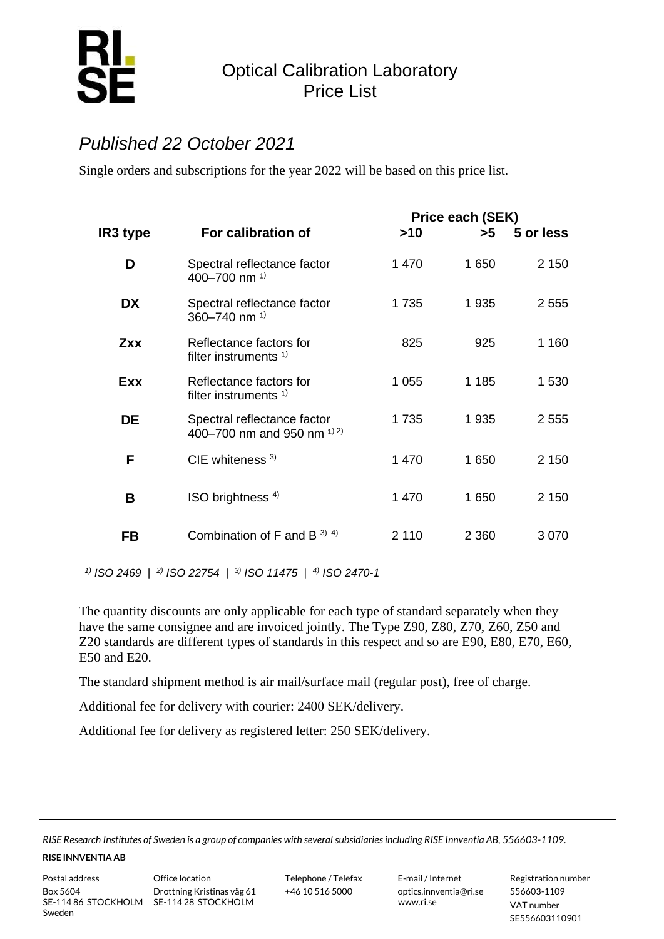

## Optical Calibration Laboratory Price List

## *Published 22 October 2021*

Single orders and subscriptions for the year 2022 will be based on this price list.

| IR3 type   | For calibration of                                            | >10     | Price each (SEK)<br>>5 | 5 or less |
|------------|---------------------------------------------------------------|---------|------------------------|-----------|
| D          | Spectral reflectance factor<br>400-700 nm <sup>1)</sup>       | 1 470   | 1 650                  | 2 1 5 0   |
| <b>DX</b>  | Spectral reflectance factor<br>360-740 nm $^{1}$              | 1735    | 1935                   | 2 5 5 5   |
| <b>Zxx</b> | Reflectance factors for<br>filter instruments <sup>1)</sup>   | 825     | 925                    | 1 160     |
| Exx        | Reflectance factors for<br>filter instruments <sup>1)</sup>   | 1 0 5 5 | 1 1 8 5                | 1 530     |
| DE         | Spectral reflectance factor<br>400-700 nm and 950 nm $^{1/2}$ | 1735    | 1935                   | 2 5 5 5   |
| F          | CIE whiteness $3)$                                            | 1470    | 1 650                  | 2 1 5 0   |
| В          | ISO brightness $4$ )                                          | 1 470   | 1 650                  | 2 1 5 0   |
| FB         | Combination of F and B $^{3}$ $^{4}$ )                        | 2 1 1 0 | 2 3 6 0                | 3070      |

*1) ISO 2469* | *2) ISO 22754* | *3) ISO 11475* | *4) ISO 2470-1*

The quantity discounts are only applicable for each type of standard separately when they have the same consignee and are invoiced jointly. The Type Z90, Z80, Z70, Z60, Z50 and Z20 standards are different types of standards in this respect and so are E90, E80, E70, E60, E50 and E20.

The standard shipment method is air mail/surface mail (regular post), free of charge.

Additional fee for delivery with courier: 2400 SEK/delivery.

Additional fee for delivery as registered letter: 250 SEK/delivery.

**RISE INNVENTIA AB**

Postal address **Office location** Telephone / Telefax E-mail / Internet Registration number

+46 10 516 5000 optics.innventia@ri.se www.ri.se

556603-1109 VAT number SE556603110901

*RISE Research Institutes of Sweden is a group of companies with several subsidiaries including RISE Innventia AB, 556603-1109.*